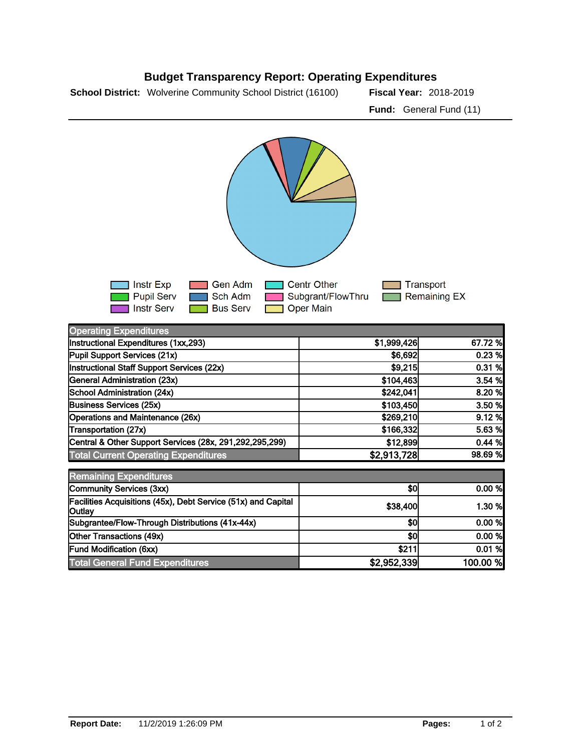



| <b>Operating Expenditures</b>                                            |             |          |
|--------------------------------------------------------------------------|-------------|----------|
| Instructional Expenditures (1xx,293)                                     | \$1,999,426 | 67.72 %  |
| Pupil Support Services (21x)                                             | \$6,692     | 0.23%    |
| Instructional Staff Support Services (22x)                               | \$9,215     | 0.31%    |
| General Administration (23x)                                             | \$104,463   | 3.54 %   |
| School Administration (24x)                                              | \$242,041   | 8.20 %   |
| Business Services (25x)                                                  | \$103,450   | 3.50 %   |
| Operations and Maintenance (26x)                                         | \$269,210   | 9.12%    |
| Transportation (27x)                                                     | \$166,332   | 5.63 %   |
| Central & Other Support Services (28x, 291,292,295,299)                  | \$12,899    | 0.44%    |
| <b>Total Current Operating Expenditures</b>                              | \$2,913,728 | 98.69 %  |
| <b>Remaining Expenditures</b>                                            |             |          |
| Community Services (3xx)                                                 | \$0         | 0.00 %   |
| Facilities Acquisitions (45x), Debt Service (51x) and Capital<br> Outlay | \$38,400    | 1.30 %   |
| Subgrantee/Flow-Through Distributions (41x-44x)                          | \$0         | 0.00 %   |
| Other Transactions (49x)                                                 | \$0         | 0.00 %   |
| Fund Modification (6xx)                                                  | \$211       | 0.01%    |
| <b>Total General Fund Expenditures</b>                                   | \$2,952,339 | 100.00 % |